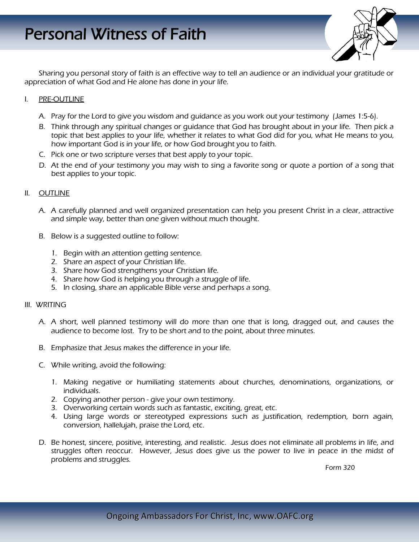

Sharing you personal story of faith is an effective way to tell an audience or an individual your gratitude or appreciation of what God and He alone has done in your life.

#### I. PRE-OUTLINE

- A. Pray for the Lord to give you wisdom and guidance as you work out your testimony (James 1:5-6).
- B. Think through any spiritual changes or guidance that God has brought about in your life. Then pick a topic that best applies to your life, whether it relates to what God did for you, what He means to you, how important God is in your life, or how God brought you to faith.
- C. Pick one or two scripture verses that best apply to your topic.
- D. At the end of your testimony you may wish to sing a favorite song or quote a portion of a song that best applies to your topic.

### II. OUTLINE

- A. A carefully planned and well organized presentation can help you present Christ in a clear, attractive and simple way, better than one given without much thought.
- B. Below is a suggested outline to follow:
	- 1. Begin with an attention getting sentence.
	- 2. Share an aspect of your Christian life.
	- 3. Share how God strengthens your Christian life.
	- 4. Share how God is helping you through a struggle of life.
	- 5. In closing, share an applicable Bible verse and perhaps a song.

#### III. WRITING

- A. A short, well planned testimony will do more than one that is long, dragged out, and causes the audience to become lost. Try to be short and to the point, about three minutes.
- B. Emphasize that Jesus makes the difference in your life.
- C. While writing, avoid the following:
	- 1. Making negative or humiliating statements about churches, denominations, organizations, or individuals.
	- 2. Copying another person give your own testimony.
	- 3. Overworking certain words such as fantastic, exciting, great, etc.
	- 4. Using large words or stereotyped expressions such as justification, redemption, born again, conversion, hallelujah, praise the Lord, etc.
- D. Be honest, sincere, positive, interesting, and realistic. Jesus does not eliminate all problems in life, and struggles often reoccur. However, Jesus does give us the power to live in peace in the midst of problems and struggles.

Form 320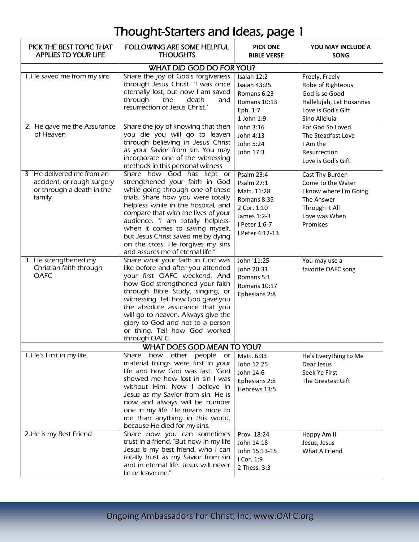# Thought-Starters and Ideas, page 1

| PICK THE BEST TOPIC THAT<br><b>APPLIES TO YOUR LIFE</b>                                        | <b>FOLLOWING ARE SOME HELPFUL</b><br><b>THOUGHTS</b>                                                                                                                                                                                                                                                                                                                                                       | <b>PICK ONE</b><br><b>BIBLE VERSE</b>                                                                                    | YOU MAY INCLUDE A<br><b>SONG</b>                                                                                            |  |
|------------------------------------------------------------------------------------------------|------------------------------------------------------------------------------------------------------------------------------------------------------------------------------------------------------------------------------------------------------------------------------------------------------------------------------------------------------------------------------------------------------------|--------------------------------------------------------------------------------------------------------------------------|-----------------------------------------------------------------------------------------------------------------------------|--|
| WHAT DID GOD DO FOR YOU?                                                                       |                                                                                                                                                                                                                                                                                                                                                                                                            |                                                                                                                          |                                                                                                                             |  |
| 1. He saved me from my sins                                                                    | Share the joy of God's forgiveness<br>through Jesus Christ. "I was once<br>eternally lost, but now I am saved<br>through<br>the<br>death<br>and<br>resurrection of Jesus Christ."                                                                                                                                                                                                                          | Isaiah 12:2<br>Isaiah 43:25<br>Romans 6:23<br><b>Romans 10:13</b><br>Eph. 1:7<br>1 John 1:9                              | Freely, Freely<br>Robe of Righteous<br>God is so Good<br>Hallelujah, Let Hosannas<br>Love is God's Gift<br>Sino Alleluia    |  |
| 2. He gave me the Assurance<br>of Heaven                                                       | Share the joy of knowing that then<br>you die you will go to leaven<br>through believing in Jesus Christ<br>as your Savior from sin. You may<br>incorporate one of the witnessing<br>methods in this personal witness                                                                                                                                                                                      | John 3:16<br>John 4:13<br>John 5:24<br>John 17:3                                                                         | For God So Loved<br>The Steadfast Love<br>I Am the<br>Resurrection<br>Love is God's Gift                                    |  |
| 3 He delivered me from an<br>accident, or rough surgery<br>or through a death in the<br>family | Share how God has kept or<br>strengthened your faith in God<br>while going through one of these<br>trials. Share how you were totally<br>helpless while in the hospital, and<br>compare that with the lives of your<br>audience. "I am totally helpless-<br>when it comes to saving myself,<br>but Jesus Christ saved me by dying<br>on the cross. He forgives my sins<br>and assures me of eternal life." | Psalm 23:4<br>Psalm 27:1<br>Matt. 11:28<br>Romans 8:35<br>2 Cor. 1:10<br>James 1:2-3<br>I Peter 1:6-7<br>I Peter 4:12-13 | Cast Thy Burden<br>Come to the Water<br>I know where I'm Going<br>The Answer<br>Through it All<br>Love was When<br>Promises |  |
| 3. He strengthened my<br>Christian faith through<br><b>OAFC</b>                                | Share what your faith in God was<br>like before and after you attended<br>your first OAFC weekend. And<br>how God strengthened your faith<br>through Bible Study, singing, or<br>witnessing. Tell how God gave you<br>the absolute assurance that you<br>will go to heaven. Always give the<br>glory to God and not to a person<br>or thing. Tell how God worked<br>through OAFC.                          | John '11:25<br>John 20:31<br>Romans 5:1<br>Romans 10:17<br>Ephesians 2:8                                                 | You may use a<br>favorite OAFC song                                                                                         |  |
| <b>WHAT DOES GOD MEAN TO YOU?</b>                                                              |                                                                                                                                                                                                                                                                                                                                                                                                            |                                                                                                                          |                                                                                                                             |  |
| 1. He's First in my life.                                                                      | Share<br>how<br>other people<br>or<br>material things were first in your<br>life and how God was last. "God<br>showed me how lost in sin I was<br>without Him. Now I believe in<br>Jesus as my Savior from sin. He is<br>now and always will be number<br>one in my life. He means more to<br>me than anything in this world,<br>because He died for my sins.                                              | Matt. 6:33<br>John 12.25<br>John 14:6<br>Ephesians 2:8<br>Hebrews 13:5                                                   | He's Everything to Me<br>Dear Jesus<br>Seek Ye First<br>The Greatest Gift                                                   |  |
| 2. He is my Best Friend                                                                        | Share how you can sometimes<br>trust in a friend. "But now in my life<br>Jesus is my best friend, who I can<br>totally trust as my Savior from sin<br>and in eternal life. Jesus will never<br>lie or leave me."                                                                                                                                                                                           | Prov. 18:24<br>John 14:18<br>John 15:13-15<br>I Cor. 1:9<br>2 Thess. 3:3                                                 | Happy Am II<br>Jesus, Jesus<br>What A Friend                                                                                |  |